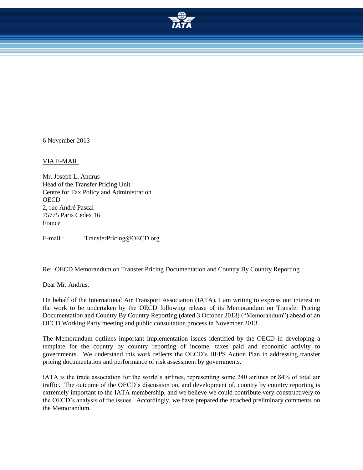

6 November 2013

VIA E-MAIL

Mr. Joseph L. Andrus Head of the Transfer Pricing Unit Centre for Tax Policy and Administration **OECD** 2, rue André Pascal 75775 Paris Cedex 16 France

E-mail : TransferPricing@OECD.org

#### Re: OECD Memorandum on Transfer Pricing Documentation and Country By Country Reporting

Dear Mr. Andrus,

On behalf of the International Air Transport Association (IATA), I am writing to express our interest in the work to be undertaken by the OECD following release of its Memorandum on Transfer Pricing Documentation and Country By Country Reporting (dated 3 October 2013) ("Memorandum") ahead of an OECD Working Party meeting and public consultation process in November 2013.

The Memorandum outlines important implementation issues identified by the OECD in developing a template for the country by country reporting of income, taxes paid and economic activity to governments. We understand this work reflects the OECD's BEPS Action Plan in addressing transfer pricing documentation and performance of risk assessment by governments.

IATA is the trade association for the world's airlines, representing some 240 airlines or 84% of total air traffic. The outcome of the OECD's discussion on, and development of, country by country reporting is extremely important to the IATA membership, and we believe we could contribute very constructively to the OECD's analysis of the issues. Accordingly, we have prepared the attached preliminary comments on the Memorandum.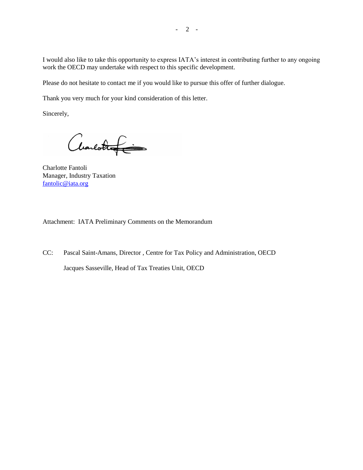I would also like to take this opportunity to express IATA's interest in contributing further to any ongoing work the OECD may undertake with respect to this specific development.

Please do not hesitate to contact me if you would like to pursue this offer of further dialogue.

Thank you very much for your kind consideration of this letter.

Sincerely,

Charlottef

Charlotte Fantoli Manager, Industry Taxation [fantolic@iata.org](mailto:fantolic@iata.org)

Attachment: IATA Preliminary Comments on the Memorandum

CC: Pascal Saint-Amans, Director , Centre for Tax Policy and Administration, OECD Jacques Sasseville, Head of Tax Treaties Unit, OECD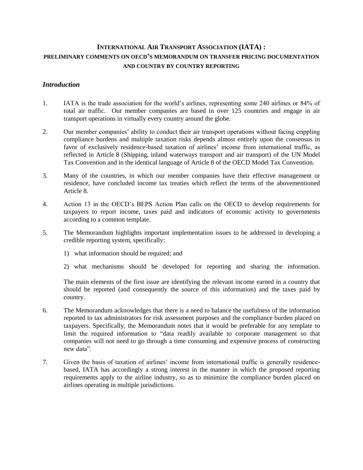# **INTERNATIONAL AIR TRANSPORT ASSOCIATION (IATA) : PRELIMINARY COMMENTS ON OECD'S MEMORANDUM ON TRANSFER PRICING DOCUMENTATION AND COUNTRY BY COUNTRY REPORTING**

# *Introduction*

- 1. IATA is the trade association for the world's airlines, representing some 240 airlines or 84% of total air traffic. Our member companies are based in over 125 countries and engage in air transport operations in virtually every country around the globe.
- 2. Our member companies' ability to conduct their air transport operations without facing crippling compliance burdens and multiple taxation risks depends almost entirely upon the consensus in favor of exclusively residence-based taxation of airlines' income from international traffic, as reflected in Article 8 (Shipping, inland waterways transport and air transport) of the UN Model Tax Convention and in the identical language of Article 8 of the OECD Model Tax Convention.
- 3. Many of the countries, in which our member companies have their effective management or residence, have concluded income tax treaties which reflect the terms of the abovementioned Article 8.
- 4. Action 13 in the OECD's BEPS Action Plan calls on the OECD to develop requirements for taxpayers to report income, taxes paid and indicators of economic activity to governments according to a common template.
- 5. The Memorandum highlights important implementation issues to be addressed in developing a credible reporting system, specifically:
	- 1) what information should be required; and
	- 2) what mechanisms should be developed for reporting and sharing the information.

The main elements of the first issue are identifying the relevant income earned in a country that should be reported (and consequently the source of this information) and the taxes paid by country.

- 6. The Memorandum acknowledges that there is a need to balance the usefulness of the information reported to tax administrators for risk assessment purposes and the compliance burden placed on taxpayers. Specifically, the Memorandum notes that it would be preferable for any template to limit the required information to "data readily available to corporate management so that companies will not need to go through a time consuming and expensive process of constructing new data".
- 7. Given the basis of taxation of airlines' income from international traffic is generally residencebased, IATA has accordingly a strong interest in the manner in which the proposed reporting requirements apply to the airline industry, so as to minimize the compliance burden placed on airlines operating in multiple jurisdictions.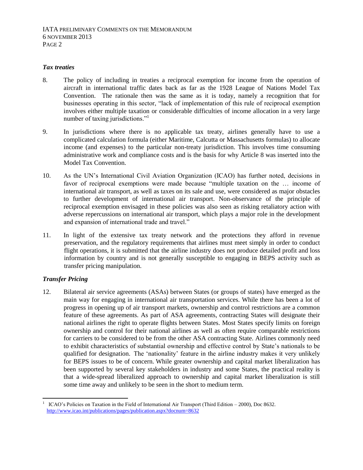#### *Tax treaties*

- 8. The policy of including in treaties a reciprocal exemption for income from the operation of aircraft in international traffic dates back as far as the 1928 League of Nations Model Tax Convention. The rationale then was the same as it is today, namely a recognition that for businesses operating in this sector, "lack of implementation of this rule of reciprocal exemption involves either multiple taxation or considerable difficulties of income allocation in a very large number of taxing jurisdictions."<sup>1</sup>
- 9. In jurisdictions where there is no applicable tax treaty, airlines generally have to use a complicated calculation formula (either Maritime, Calcutta or Massachusetts formulas) to allocate income (and expenses) to the particular non-treaty jurisdiction. This involves time consuming administrative work and compliance costs and is the basis for why Article 8 was inserted into the Model Tax Convention.
- 10. As the UN's International Civil Aviation Organization (ICAO) has further noted, decisions in favor of reciprocal exemptions were made because "multiple taxation on the … income of international air transport, as well as taxes on its sale and use, were considered as major obstacles to further development of international air transport. Non-observance of the principle of reciprocal exemption envisaged in these policies was also seen as risking retaliatory action with adverse repercussions on international air transport, which plays a major role in the development and expansion of international trade and travel."
- 11. In light of the extensive tax treaty network and the protections they afford in revenue preservation, and the regulatory requirements that airlines must meet simply in order to conduct flight operations, it is submitted that the airline industry does not produce detailed profit and loss information by country and is not generally susceptible to engaging in BEPS activity such as transfer pricing manipulation.

## *Transfer Pricing*

-

12. Bilateral air service agreements (ASAs) between States (or groups of states) have emerged as the main way for engaging in international air transportation services. While there has been a lot of progress in opening up of air transport markets, ownership and control restrictions are a common feature of these agreements. As part of ASA agreements, contracting States will designate their national airlines the right to operate flights between States. Most States specify limits on foreign ownership and control for their national airlines as well as often require comparable restrictions for carriers to be considered to be from the other ASA contracting State. Airlines commonly need to exhibit characteristics of substantial ownership and effective control by State's nationals to be qualified for designation. The 'nationality' feature in the airline industry makes it very unlikely for BEPS issues to be of concern. While greater ownership and capital market liberalization has been supported by several key stakeholders in industry and some States, the practical reality is that a wide-spread liberalized approach to ownership and capital market liberalization is still some time away and unlikely to be seen in the short to medium term.

<sup>1</sup> ICAO's Policies on Taxation in the Field of International Air Transport (Third Edition – 2000), Doc 8632. <http://www.icao.int/publications/pages/publication.aspx?docnum=8632>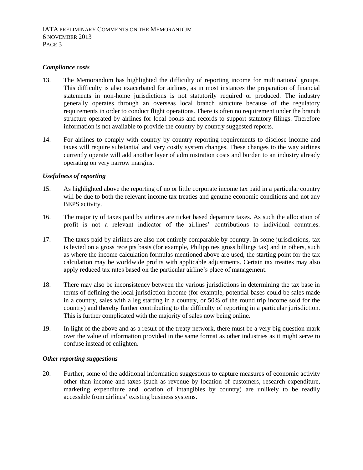#### *Compliance costs*

- 13. The Memorandum has highlighted the difficulty of reporting income for multinational groups. This difficulty is also exacerbated for airlines, as in most instances the preparation of financial statements in non-home jurisdictions is not statutorily required or produced. The industry generally operates through an overseas local branch structure because of the regulatory requirements in order to conduct flight operations. There is often no requirement under the branch structure operated by airlines for local books and records to support statutory filings. Therefore information is not available to provide the country by country suggested reports.
- 14. For airlines to comply with country by country reporting requirements to disclose income and taxes will require substantial and very costly system changes. These changes to the way airlines currently operate will add another layer of administration costs and burden to an industry already operating on very narrow margins.

## *Usefulness of reporting*

- 15. As highlighted above the reporting of no or little corporate income tax paid in a particular country will be due to both the relevant income tax treaties and genuine economic conditions and not any BEPS activity.
- 16. The majority of taxes paid by airlines are ticket based departure taxes. As such the allocation of profit is not a relevant indicator of the airlines' contributions to individual countries.
- 17. The taxes paid by airlines are also not entirely comparable by country. In some jurisdictions, tax is levied on a gross receipts basis (for example, Philippines gross billings tax) and in others, such as where the income calculation formulas mentioned above are used, the starting point for the tax calculation may be worldwide profits with applicable adjustments. Certain tax treaties may also apply reduced tax rates based on the particular airline's place of management.
- 18. There may also be inconsistency between the various jurisdictions in determining the tax base in terms of defining the local jurisdiction income (for example, potential bases could be sales made in a country, sales with a leg starting in a country, or 50% of the round trip income sold for the country) and thereby further contributing to the difficulty of reporting in a particular jurisdiction. This is further complicated with the majority of sales now being online.
- 19. In light of the above and as a result of the treaty network, there must be a very big question mark over the value of information provided in the same format as other industries as it might serve to confuse instead of enlighten.

#### *Other reporting suggestions*

20. Further, some of the additional information suggestions to capture measures of economic activity other than income and taxes (such as revenue by location of customers, research expenditure, marketing expenditure and location of intangibles by country) are unlikely to be readily accessible from airlines' existing business systems.